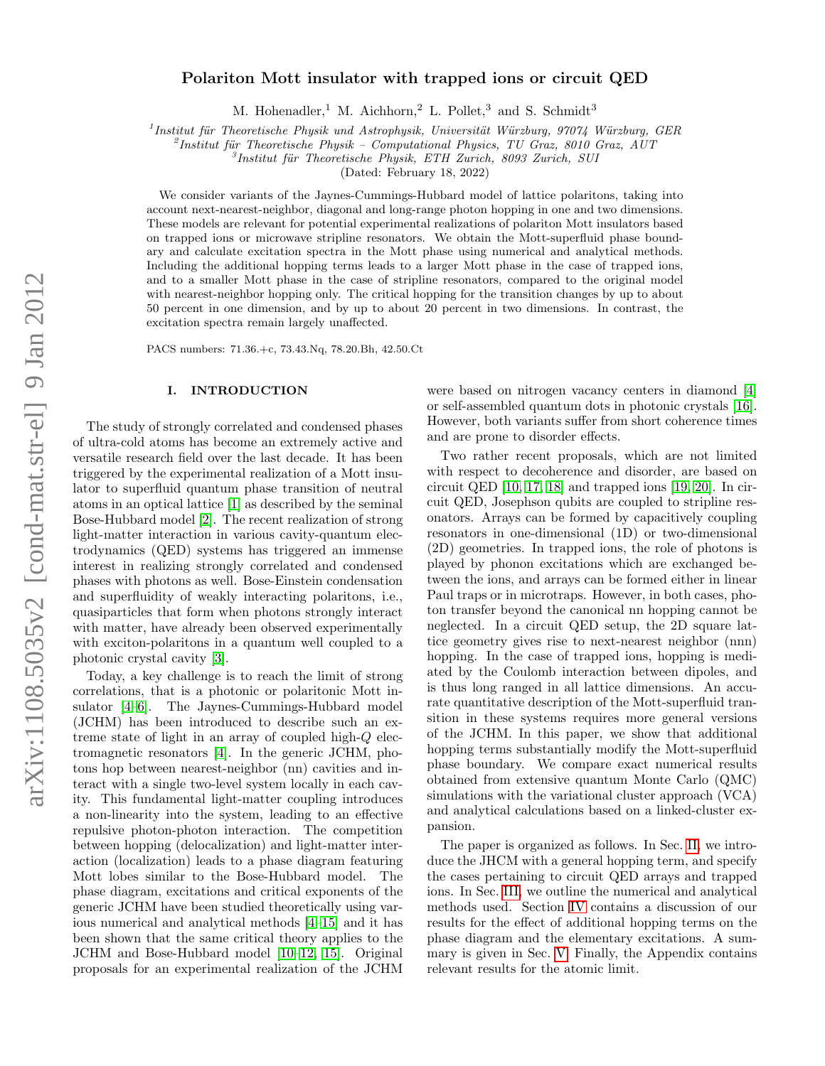# Polariton Mott insulator with trapped ions or circuit QED

M. Hohenadler,<sup>1</sup> M. Aichhorn,<sup>2</sup> L. Pollet,<sup>3</sup> and S. Schmidt<sup>3</sup>

<sup>1</sup> Institut für Theoretische Physik und Astrophysik, Universität Würzburg, 97074 Würzburg, GER

 $^{2}$ Institut für Theoretische Physik – Computational Physics, TU Graz, 8010 Graz, AUT

 ${}^{3}$ Institut für Theoretische Physik, ETH Zurich, 8093 Zurich, SUI

(Dated: February 18, 2022)

We consider variants of the Jaynes-Cummings-Hubbard model of lattice polaritons, taking into account next-nearest-neighbor, diagonal and long-range photon hopping in one and two dimensions. These models are relevant for potential experimental realizations of polariton Mott insulators based on trapped ions or microwave stripline resonators. We obtain the Mott-superfluid phase boundary and calculate excitation spectra in the Mott phase using numerical and analytical methods. Including the additional hopping terms leads to a larger Mott phase in the case of trapped ions, and to a smaller Mott phase in the case of stripline resonators, compared to the original model with nearest-neighbor hopping only. The critical hopping for the transition changes by up to about 50 percent in one dimension, and by up to about 20 percent in two dimensions. In contrast, the excitation spectra remain largely unaffected.

PACS numbers: 71.36.+c, 73.43.Nq, 78.20.Bh, 42.50.Ct

### I. INTRODUCTION

The study of strongly correlated and condensed phases of ultra-cold atoms has become an extremely active and versatile research field over the last decade. It has been triggered by the experimental realization of a Mott insulator to superfluid quantum phase transition of neutral atoms in an optical lattice [\[1\]](#page-6-0) as described by the seminal Bose-Hubbard model [\[2\]](#page-6-1). The recent realization of strong light-matter interaction in various cavity-quantum electrodynamics (QED) systems has triggered an immense interest in realizing strongly correlated and condensed phases with photons as well. Bose-Einstein condensation and superfluidity of weakly interacting polaritons, i.e., quasiparticles that form when photons strongly interact with matter, have already been observed experimentally with exciton-polaritons in a quantum well coupled to a photonic crystal cavity [\[3\]](#page-6-2).

Today, a key challenge is to reach the limit of strong correlations, that is a photonic or polaritonic Mott insulator [\[4](#page-6-3)[–6\]](#page-6-4). The Jaynes-Cummings-Hubbard model (JCHM) has been introduced to describe such an extreme state of light in an array of coupled high-Q electromagnetic resonators [\[4\]](#page-6-3). In the generic JCHM, photons hop between nearest-neighbor (nn) cavities and interact with a single two-level system locally in each cavity. This fundamental light-matter coupling introduces a non-linearity into the system, leading to an effective repulsive photon-photon interaction. The competition between hopping (delocalization) and light-matter interaction (localization) leads to a phase diagram featuring Mott lobes similar to the Bose-Hubbard model. The phase diagram, excitations and critical exponents of the generic JCHM have been studied theoretically using various numerical and analytical methods [\[4–](#page-6-3)[15\]](#page-7-0) and it has been shown that the same critical theory applies to the JCHM and Bose-Hubbard model [\[10–](#page-6-5)[12,](#page-7-1) [15\]](#page-7-0). Original proposals for an experimental realization of the JCHM

were based on nitrogen vacancy centers in diamond [\[4\]](#page-6-3) or self-assembled quantum dots in photonic crystals [\[16\]](#page-7-2). However, both variants suffer from short coherence times and are prone to disorder effects.

Two rather recent proposals, which are not limited with respect to decoherence and disorder, are based on circuit QED [\[10,](#page-6-5) [17,](#page-7-3) [18\]](#page-7-4) and trapped ions [\[19,](#page-7-5) [20\]](#page-7-6). In circuit QED, Josephson qubits are coupled to stripline resonators. Arrays can be formed by capacitively coupling resonators in one-dimensional (1D) or two-dimensional (2D) geometries. In trapped ions, the role of photons is played by phonon excitations which are exchanged between the ions, and arrays can be formed either in linear Paul traps or in microtraps. However, in both cases, photon transfer beyond the canonical nn hopping cannot be neglected. In a circuit QED setup, the 2D square lattice geometry gives rise to next-nearest neighbor (nnn) hopping. In the case of trapped ions, hopping is mediated by the Coulomb interaction between dipoles, and is thus long ranged in all lattice dimensions. An accurate quantitative description of the Mott-superfluid transition in these systems requires more general versions of the JCHM. In this paper, we show that additional hopping terms substantially modify the Mott-superfluid phase boundary. We compare exact numerical results obtained from extensive quantum Monte Carlo (QMC) simulations with the variational cluster approach (VCA) and analytical calculations based on a linked-cluster expansion.

The paper is organized as follows. In Sec. [II,](#page-1-0) we introduce the JHCM with a general hopping term, and specify the cases pertaining to circuit QED arrays and trapped ions. In Sec. [III,](#page-2-0) we outline the numerical and analytical methods used. Section [IV](#page-3-0) contains a discussion of our results for the effect of additional hopping terms on the phase diagram and the elementary excitations. A summary is given in Sec. [V.](#page-6-6) Finally, the Appendix contains relevant results for the atomic limit.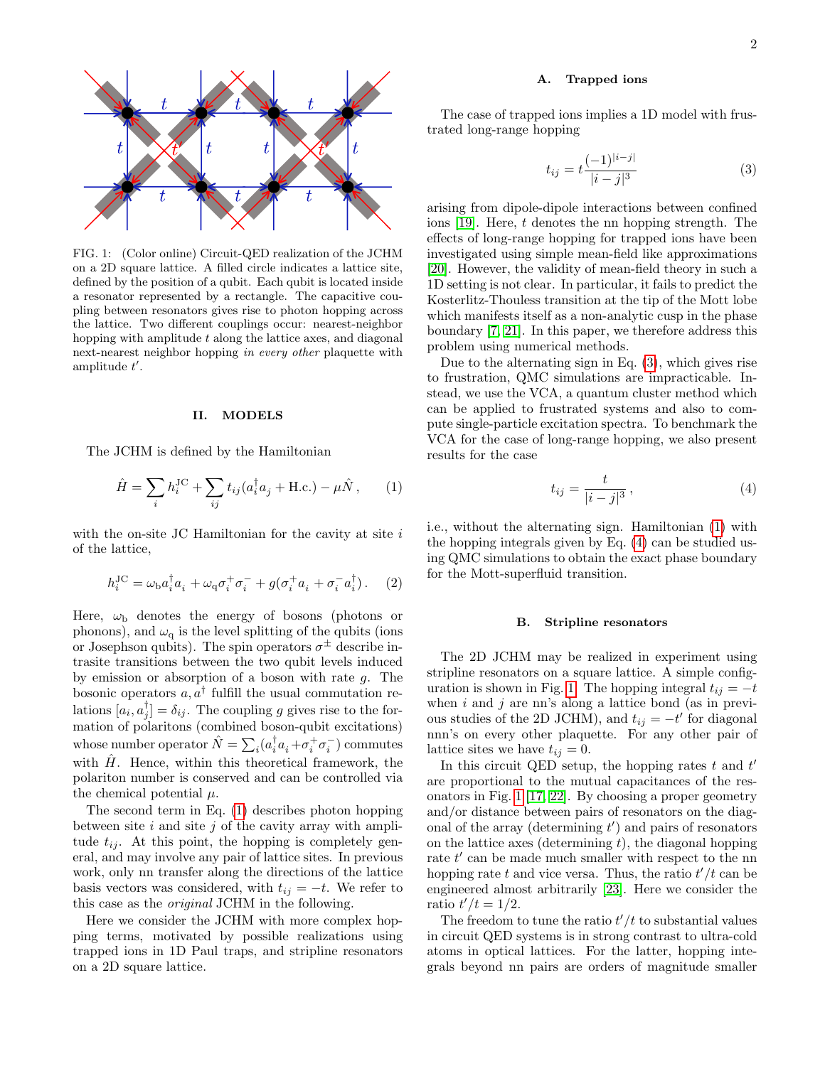

<span id="page-1-4"></span>FIG. 1: (Color online) Circuit-QED realization of the JCHM on a 2D square lattice. A filled circle indicates a lattice site, defined by the position of a qubit. Each qubit is located inside a resonator represented by a rectangle. The capacitive coupling between resonators gives rise to photon hopping across the lattice. Two different couplings occur: nearest-neighbor hopping with amplitude  $t$  along the lattice axes, and diagonal next-nearest neighbor hopping in every other plaquette with amplitude  $t'$ .

## <span id="page-1-0"></span>II. MODELS

The JCHM is defined by the Hamiltonian

<span id="page-1-1"></span>
$$
\hat{H} = \sum_{i} h_i^{\text{JC}} + \sum_{ij} t_{ij} (a_i^{\dagger} a_j + \text{H.c.}) - \mu \hat{N}, \qquad (1)
$$

with the on-site JC Hamiltonian for the cavity at site  $i$ of the lattice,

$$
h_i^{\rm JC} = \omega_{\rm b} a_i^{\dagger} a_i + \omega_{\rm q} \sigma_i^+ \sigma_i^- + g(\sigma_i^+ a_i + \sigma_i^- a_i^{\dagger}). \tag{2}
$$

Here,  $\omega_{\rm b}$  denotes the energy of bosons (photons or phonons), and  $\omega_q$  is the level splitting of the qubits (ions or Josephson qubits). The spin operators  $\sigma^{\pm}$  describe intrasite transitions between the two qubit levels induced by emission or absorption of a boson with rate  $q$ . The bosonic operators  $a, a^{\dagger}$  fulfill the usual commutation relations  $[a_i, a_j^{\dagger}] = \delta_{ij}$ . The coupling g gives rise to the formation of polaritons (combined boson-qubit excitations) whose number operator  $\hat{N} = \sum_i (a_i^\dagger a_i + \sigma_i^+ \sigma_i^-)$  commutes with  $\hat{H}$ . Hence, within this theoretical framework, the polariton number is conserved and can be controlled via the chemical potential  $\mu$ .

The second term in Eq. [\(1\)](#page-1-1) describes photon hopping between site  $i$  and site  $j$  of the cavity array with amplitude  $t_{ij}$ . At this point, the hopping is completely general, and may involve any pair of lattice sites. In previous work, only nn transfer along the directions of the lattice basis vectors was considered, with  $t_{ij} = -t$ . We refer to this case as the original JCHM in the following.

Here we consider the JCHM with more complex hopping terms, motivated by possible realizations using trapped ions in 1D Paul traps, and stripline resonators on a 2D square lattice.

### A. Trapped ions

The case of trapped ions implies a 1D model with frustrated long-range hopping

<span id="page-1-2"></span>
$$
t_{ij} = t \frac{(-1)^{|i-j|}}{|i-j|^3} \tag{3}
$$

arising from dipole-dipole interactions between confined ions [\[19\]](#page-7-5). Here, t denotes the nn hopping strength. The effects of long-range hopping for trapped ions have been investigated using simple mean-field like approximations [\[20\]](#page-7-6). However, the validity of mean-field theory in such a 1D setting is not clear. In particular, it fails to predict the Kosterlitz-Thouless transition at the tip of the Mott lobe which manifests itself as a non-analytic cusp in the phase boundary [\[7,](#page-6-7) [21\]](#page-7-7). In this paper, we therefore address this problem using numerical methods.

Due to the alternating sign in Eq. [\(3\)](#page-1-2), which gives rise to frustration, QMC simulations are impracticable. Instead, we use the VCA, a quantum cluster method which can be applied to frustrated systems and also to compute single-particle excitation spectra. To benchmark the VCA for the case of long-range hopping, we also present results for the case

<span id="page-1-3"></span>
$$
t_{ij} = \frac{t}{|i-j|^3},\tag{4}
$$

i.e., without the alternating sign. Hamiltonian [\(1\)](#page-1-1) with the hopping integrals given by Eq. [\(4\)](#page-1-3) can be studied using QMC simulations to obtain the exact phase boundary for the Mott-superfluid transition.

#### B. Stripline resonators

The 2D JCHM may be realized in experiment using stripline resonators on a square lattice. A simple config-uration is shown in Fig. [1.](#page-1-4) The hopping integral  $t_{ij} = -t$ when  $i$  and  $j$  are nn's along a lattice bond (as in previous studies of the 2D JCHM), and  $t_{ij} = -t'$  for diagonal nnn's on every other plaquette. For any other pair of lattice sites we have  $t_{ij} = 0$ .

In this circuit QED setup, the hopping rates  $t$  and  $t'$ are proportional to the mutual capacitances of the resonators in Fig. [1](#page-1-4) [\[17,](#page-7-3) [22\]](#page-7-8). By choosing a proper geometry and/or distance between pairs of resonators on the diagonal of the array (determining  $t'$ ) and pairs of resonators on the lattice axes (determining  $t$ ), the diagonal hopping rate  $t'$  can be made much smaller with respect to the nn hopping rate t and vice versa. Thus, the ratio  $t'/t$  can be engineered almost arbitrarily [\[23\]](#page-7-9). Here we consider the ratio  $t'/t = 1/2$ .

The freedom to tune the ratio  $t'/t$  to substantial values in circuit QED systems is in strong contrast to ultra-cold atoms in optical lattices. For the latter, hopping integrals beyond nn pairs are orders of magnitude smaller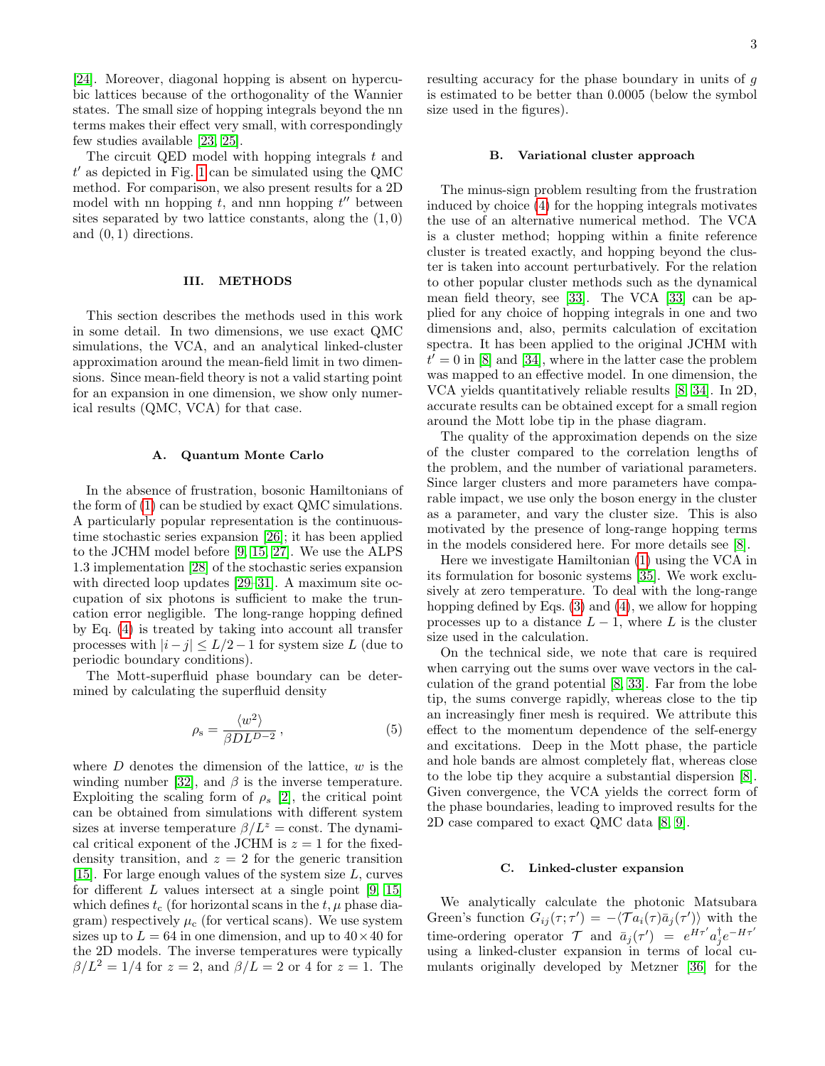[\[24\]](#page-7-10). Moreover, diagonal hopping is absent on hypercubic lattices because of the orthogonality of the Wannier states. The small size of hopping integrals beyond the nn terms makes their effect very small, with correspondingly few studies available [\[23,](#page-7-9) [25\]](#page-7-11).

The circuit QED model with hopping integrals  $t$  and  $t'$  as depicted in Fig. [1](#page-1-4) can be simulated using the QMC method. For comparison, we also present results for a 2D model with nn hopping  $t$ , and nnn hopping  $t''$  between sites separated by two lattice constants, along the  $(1,0)$ and (0, 1) directions.

## <span id="page-2-0"></span>III. METHODS

This section describes the methods used in this work in some detail. In two dimensions, we use exact QMC simulations, the VCA, and an analytical linked-cluster approximation around the mean-field limit in two dimensions. Since mean-field theory is not a valid starting point for an expansion in one dimension, we show only numerical results (QMC, VCA) for that case.

### A. Quantum Monte Carlo

In the absence of frustration, bosonic Hamiltonians of the form of [\(1\)](#page-1-1) can be studied by exact QMC simulations. A particularly popular representation is the continuoustime stochastic series expansion [\[26\]](#page-7-12); it has been applied to the JCHM model before [\[9,](#page-6-8) [15,](#page-7-0) [27\]](#page-7-13). We use the ALPS 1.3 implementation [\[28\]](#page-7-14) of the stochastic series expansion with directed loop updates [\[29](#page-7-15)[–31\]](#page-7-16). A maximum site occupation of six photons is sufficient to make the truncation error negligible. The long-range hopping defined by Eq. [\(4\)](#page-1-3) is treated by taking into account all transfer processes with  $|i-j| \leq L/2-1$  for system size L (due to periodic boundary conditions).

The Mott-superfluid phase boundary can be determined by calculating the superfluid density

$$
\rho_{\rm s} = \frac{\langle w^2 \rangle}{\beta D L^{D-2}},\tag{5}
$$

where  $D$  denotes the dimension of the lattice,  $w$  is the winding number [\[32\]](#page-7-17), and  $\beta$  is the inverse temperature. Exploiting the scaling form of  $\rho_s$  [\[2\]](#page-6-1), the critical point can be obtained from simulations with different system sizes at inverse temperature  $\beta/L^z = \text{const.}$  The dynamical critical exponent of the JCHM is  $z = 1$  for the fixeddensity transition, and  $z = 2$  for the generic transition [\[15\]](#page-7-0). For large enough values of the system size  $L$ , curves for different  $L$  values intersect at a single point [\[9,](#page-6-8) [15\]](#page-7-0) which defines  $t_c$  (for horizontal scans in the  $t, \mu$  phase diagram) respectively  $\mu_c$  (for vertical scans). We use system sizes up to  $L = 64$  in one dimension, and up to  $40 \times 40$  for the 2D models. The inverse temperatures were typically  $\beta/L^2 = 1/4$  for  $z = 2$ , and  $\beta/L = 2$  or 4 for  $z = 1$ . The resulting accuracy for the phase boundary in units of g is estimated to be better than 0.0005 (below the symbol size used in the figures).

### B. Variational cluster approach

The minus-sign problem resulting from the frustration induced by choice [\(4\)](#page-1-3) for the hopping integrals motivates the use of an alternative numerical method. The VCA is a cluster method; hopping within a finite reference cluster is treated exactly, and hopping beyond the cluster is taken into account perturbatively. For the relation to other popular cluster methods such as the dynamical mean field theory, see [\[33\]](#page-7-18). The VCA [\[33\]](#page-7-18) can be applied for any choice of hopping integrals in one and two dimensions and, also, permits calculation of excitation spectra. It has been applied to the original JCHM with  $t' = 0$  in [\[8\]](#page-6-9) and [\[34\]](#page-7-19), where in the latter case the problem was mapped to an effective model. In one dimension, the VCA yields quantitatively reliable results [\[8,](#page-6-9) [34\]](#page-7-19). In 2D, accurate results can be obtained except for a small region around the Mott lobe tip in the phase diagram.

The quality of the approximation depends on the size of the cluster compared to the correlation lengths of the problem, and the number of variational parameters. Since larger clusters and more parameters have comparable impact, we use only the boson energy in the cluster as a parameter, and vary the cluster size. This is also motivated by the presence of long-range hopping terms in the models considered here. For more details see [\[8\]](#page-6-9).

Here we investigate Hamiltonian [\(1\)](#page-1-1) using the VCA in its formulation for bosonic systems [\[35\]](#page-7-20). We work exclusively at zero temperature. To deal with the long-range hopping defined by Eqs. [\(3\)](#page-1-2) and [\(4\)](#page-1-3), we allow for hopping processes up to a distance  $L-1$ , where L is the cluster size used in the calculation.

On the technical side, we note that care is required when carrying out the sums over wave vectors in the calculation of the grand potential [\[8,](#page-6-9) [33\]](#page-7-18). Far from the lobe tip, the sums converge rapidly, whereas close to the tip an increasingly finer mesh is required. We attribute this effect to the momentum dependence of the self-energy and excitations. Deep in the Mott phase, the particle and hole bands are almost completely flat, whereas close to the lobe tip they acquire a substantial dispersion [\[8\]](#page-6-9). Given convergence, the VCA yields the correct form of the phase boundaries, leading to improved results for the 2D case compared to exact QMC data [\[8,](#page-6-9) [9\]](#page-6-8).

#### C. Linked-cluster expansion

We analytically calculate the photonic Matsubara Green's function  $G_{ij}(\tau;\tau') = -\langle \mathcal{T} a_i(\tau)\bar{a}_j(\tau')\rangle$  with the time-ordering operator  $\mathcal{T}$  and  $\bar{a}_j(\tau') = e^{H\tau'} a_j^{\dagger} e^{-H\tau'}$ using a linked-cluster expansion in terms of local cumulants originally developed by Metzner [\[36\]](#page-7-21) for the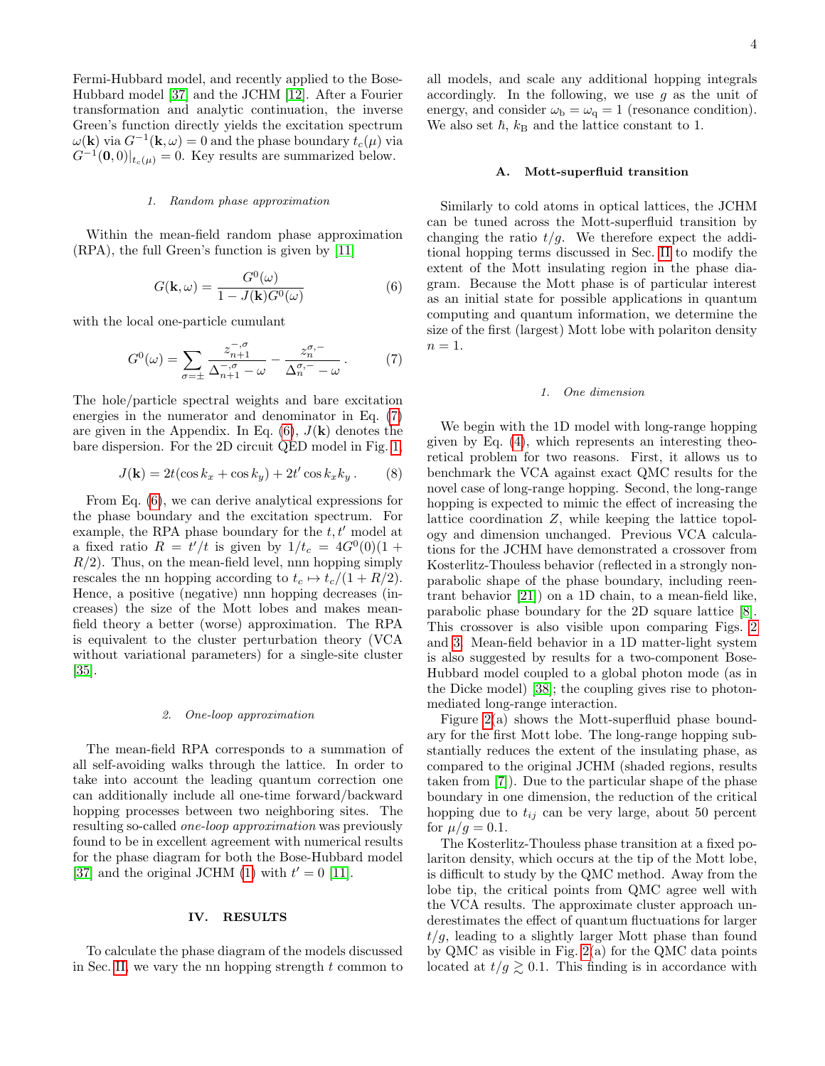Fermi-Hubbard model, and recently applied to the Bose-Hubbard model [\[37\]](#page-7-22) and the JCHM [\[12\]](#page-7-1). After a Fourier transformation and analytic continuation, the inverse Green's function directly yields the excitation spectrum  $\omega(\mathbf{k})$  via  $G^{-1}(\mathbf{k}, \omega) = 0$  and the phase boundary  $t_c(\mu)$  via  $G^{-1}(\mathbf{0},0)|_{t_c(\mu)} = 0$ . Key results are summarized below.

### 1. Random phase approximation

Within the mean-field random phase approximation (RPA), the full Green's function is given by [\[11\]](#page-6-10)

<span id="page-3-2"></span>
$$
G(\mathbf{k}, \omega) = \frac{G^{0}(\omega)}{1 - J(\mathbf{k})G^{0}(\omega)}
$$
(6)

with the local one-particle cumulant

<span id="page-3-1"></span>
$$
G^{0}(\omega) = \sum_{\sigma=\pm} \frac{z_{n+1}^{-,\sigma}}{\Delta_{n+1}^{-,\sigma} - \omega} - \frac{z_{n}^{\sigma,-}}{\Delta_{n}^{\sigma,-} - \omega}.
$$
 (7)

The hole/particle spectral weights and bare excitation energies in the numerator and denominator in Eq. [\(7\)](#page-3-1) are given in the Appendix. In Eq.  $(6)$ ,  $J(\mathbf{k})$  denotes the bare dispersion. For the 2D circuit QED model in Fig. [1,](#page-1-4)

$$
J(\mathbf{k}) = 2t(\cos k_x + \cos k_y) + 2t'\cos k_x k_y.
$$
 (8)

From Eq. [\(6\)](#page-3-2), we can derive analytical expressions for the phase boundary and the excitation spectrum. For example, the RPA phase boundary for the  $t, t'$  model at a fixed ratio  $R = t'/t$  is given by  $1/t_c = 4G^0(0)(1 +$  $R/2$ ). Thus, on the mean-field level, nnn hopping simply rescales the nn hopping according to  $t_c \mapsto t_c/(1 + R/2)$ . Hence, a positive (negative) nnn hopping decreases (increases) the size of the Mott lobes and makes meanfield theory a better (worse) approximation. The RPA is equivalent to the cluster perturbation theory (VCA without variational parameters) for a single-site cluster [\[35\]](#page-7-20).

#### 2. One-loop approximation

The mean-field RPA corresponds to a summation of all self-avoiding walks through the lattice. In order to take into account the leading quantum correction one can additionally include all one-time forward/backward hopping processes between two neighboring sites. The resulting so-called one-loop approximation was previously found to be in excellent agreement with numerical results for the phase diagram for both the Bose-Hubbard model [\[37\]](#page-7-22) and the original JCHM [\(1\)](#page-1-1) with  $t' = 0$  [\[11\]](#page-6-10).

### <span id="page-3-0"></span>IV. RESULTS

To calculate the phase diagram of the models discussed in Sec. [II,](#page-1-0) we vary the nn hopping strength  $t$  common to all models, and scale any additional hopping integrals accordingly. In the following, we use  $g$  as the unit of energy, and consider  $\omega_{\rm b} = \omega_{\rm q} = 1$  (resonance condition). We also set  $\hbar$ ,  $k_B$  and the lattice constant to 1.

## A. Mott-superfluid transition

Similarly to cold atoms in optical lattices, the JCHM can be tuned across the Mott-superfluid transition by changing the ratio  $t/g$ . We therefore expect the additional hopping terms discussed in Sec. [II](#page-1-0) to modify the extent of the Mott insulating region in the phase diagram. Because the Mott phase is of particular interest as an initial state for possible applications in quantum computing and quantum information, we determine the size of the first (largest) Mott lobe with polariton density  $n=1$ .

## 1. One dimension

We begin with the 1D model with long-range hopping given by Eq. [\(4\)](#page-1-3), which represents an interesting theoretical problem for two reasons. First, it allows us to benchmark the VCA against exact QMC results for the novel case of long-range hopping. Second, the long-range hopping is expected to mimic the effect of increasing the lattice coordination Z, while keeping the lattice topology and dimension unchanged. Previous VCA calculations for the JCHM have demonstrated a crossover from Kosterlitz-Thouless behavior (reflected in a strongly nonparabolic shape of the phase boundary, including reentrant behavior [\[21\]](#page-7-7)) on a 1D chain, to a mean-field like, parabolic phase boundary for the 2D square lattice [\[8\]](#page-6-9). This crossover is also visible upon comparing Figs. [2](#page-4-0) and [3.](#page-4-1) Mean-field behavior in a 1D matter-light system is also suggested by results for a two-component Bose-Hubbard model coupled to a global photon mode (as in the Dicke model) [\[38\]](#page-7-23); the coupling gives rise to photonmediated long-range interaction.

Figure [2\(](#page-4-0)a) shows the Mott-superfluid phase boundary for the first Mott lobe. The long-range hopping substantially reduces the extent of the insulating phase, as compared to the original JCHM (shaded regions, results taken from [\[7\]](#page-6-7)). Due to the particular shape of the phase boundary in one dimension, the reduction of the critical hopping due to  $t_{ij}$  can be very large, about 50 percent for  $\mu/g = 0.1$ .

The Kosterlitz-Thouless phase transition at a fixed polariton density, which occurs at the tip of the Mott lobe, is difficult to study by the QMC method. Away from the lobe tip, the critical points from QMC agree well with the VCA results. The approximate cluster approach underestimates the effect of quantum fluctuations for larger  $t/g$ , leading to a slightly larger Mott phase than found by QMC as visible in Fig. [2\(](#page-4-0)a) for the QMC data points located at  $t/g \gtrsim 0.1$ . This finding is in accordance with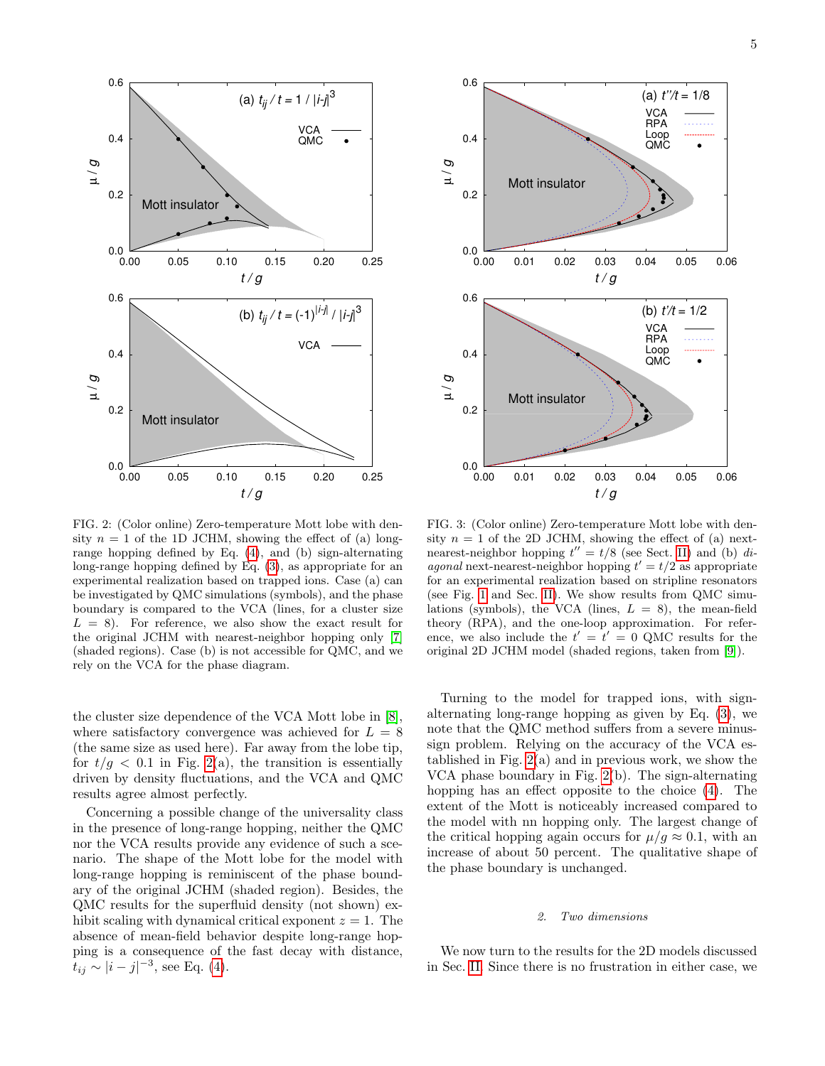

<span id="page-4-0"></span>FIG. 2: (Color online) Zero-temperature Mott lobe with density  $n = 1$  of the 1D JCHM, showing the effect of (a) longrange hopping defined by Eq. [\(4\)](#page-1-3), and (b) sign-alternating long-range hopping defined by Eq. [\(3\)](#page-1-2), as appropriate for an experimental realization based on trapped ions. Case (a) can be investigated by QMC simulations (symbols), and the phase boundary is compared to the VCA (lines, for a cluster size  $L = 8$ ). For reference, we also show the exact result for the original JCHM with nearest-neighbor hopping only [\[7\]](#page-6-7) (shaded regions). Case (b) is not accessible for QMC, and we rely on the VCA for the phase diagram.

the cluster size dependence of the VCA Mott lobe in [\[8\]](#page-6-9), where satisfactory convergence was achieved for  $L = 8$ (the same size as used here). Far away from the lobe tip, for  $t/g < 0.1$  in Fig. [2\(](#page-4-0)a), the transition is essentially driven by density fluctuations, and the VCA and QMC results agree almost perfectly.

Concerning a possible change of the universality class in the presence of long-range hopping, neither the QMC nor the VCA results provide any evidence of such a scenario. The shape of the Mott lobe for the model with long-range hopping is reminiscent of the phase boundary of the original JCHM (shaded region). Besides, the QMC results for the superfluid density (not shown) exhibit scaling with dynamical critical exponent  $z = 1$ . The absence of mean-field behavior despite long-range hopping is a consequence of the fast decay with distance,  $t_{ij} \sim |i - j|^{-3}$ , see Eq. [\(4\)](#page-1-3).



<span id="page-4-1"></span>FIG. 3: (Color online) Zero-temperature Mott lobe with density  $n = 1$  of the 2D JCHM, showing the effect of (a) nextnearest-neighbor hopping  $t'' = t/8$  (see Sect. [II\)](#page-1-0) and (b) diagonal next-nearest-neighbor hopping  $t' = t/2$  as appropriate for an experimental realization based on stripline resonators (see Fig. [1](#page-1-4) and Sec. [II\)](#page-1-0). We show results from QMC simulations (symbols), the VCA (lines,  $L = 8$ ), the mean-field theory (RPA), and the one-loop approximation. For reference, we also include the  $t' = t' = 0$  QMC results for the original 2D JCHM model (shaded regions, taken from [\[9\]](#page-6-8)).

Turning to the model for trapped ions, with signalternating long-range hopping as given by Eq. [\(3\)](#page-1-2), we note that the QMC method suffers from a severe minussign problem. Relying on the accuracy of the VCA established in Fig. [2\(](#page-4-0)a) and in previous work, we show the VCA phase boundary in Fig. [2\(](#page-4-0)b). The sign-alternating hopping has an effect opposite to the choice [\(4\)](#page-1-3). The extent of the Mott is noticeably increased compared to the model with nn hopping only. The largest change of the critical hopping again occurs for  $\mu/q \approx 0.1$ , with an increase of about 50 percent. The qualitative shape of the phase boundary is unchanged.

## 2. Two dimensions

We now turn to the results for the 2D models discussed in Sec. [II.](#page-1-0) Since there is no frustration in either case, we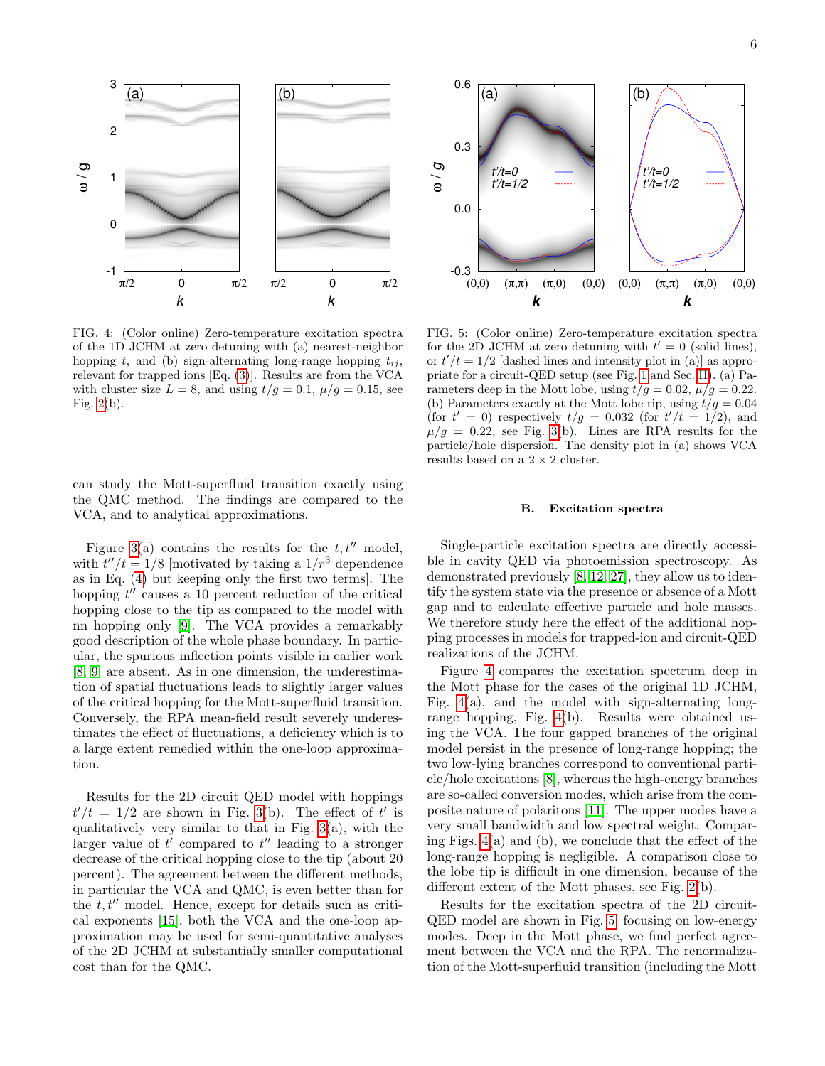

<span id="page-5-0"></span>FIG. 4: (Color online) Zero-temperature excitation spectra of the 1D JCHM at zero detuning with (a) nearest-neighbor hopping t, and (b) sign-alternating long-range hopping  $t_{ij}$ , relevant for trapped ions [Eq. [\(3\)](#page-1-2)]. Results are from the VCA with cluster size  $L = 8$ , and using  $t/g = 0.1$ ,  $\mu/g = 0.15$ , see Fig. [2\(](#page-4-0)b).

can study the Mott-superfluid transition exactly using the QMC method. The findings are compared to the VCA, and to analytical approximations.

Figure [3\(](#page-4-1)a) contains the results for the  $t, t''$  model, with  $t''/t = 1/8$  [motivated by taking a  $1/r^3$  dependence as in Eq. [\(4\)](#page-1-3) but keeping only the first two terms]. The hopping  $t''$  causes a 10 percent reduction of the critical hopping close to the tip as compared to the model with nn hopping only [\[9\]](#page-6-8). The VCA provides a remarkably good description of the whole phase boundary. In particular, the spurious inflection points visible in earlier work [\[8,](#page-6-9) [9\]](#page-6-8) are absent. As in one dimension, the underestimation of spatial fluctuations leads to slightly larger values of the critical hopping for the Mott-superfluid transition. Conversely, the RPA mean-field result severely underestimates the effect of fluctuations, a deficiency which is to a large extent remedied within the one-loop approximation.

Results for the 2D circuit QED model with hoppings  $t'/t = 1/2$  are shown in Fig. [3\(](#page-4-1)b). The effect of t' is qualitatively very similar to that in Fig.  $3(a)$ , with the larger value of  $t'$  compared to  $t''$  leading to a stronger decrease of the critical hopping close to the tip (about 20 percent). The agreement between the different methods, in particular the VCA and QMC, is even better than for the  $t, t''$  model. Hence, except for details such as critical exponents [\[15\]](#page-7-0), both the VCA and the one-loop approximation may be used for semi-quantitative analyses of the 2D JCHM at substantially smaller computational cost than for the QMC.



<span id="page-5-1"></span>FIG. 5: (Color online) Zero-temperature excitation spectra for the 2D JCHM at zero detuning with  $t' = 0$  (solid lines), or  $t'/t = 1/2$  [dashed lines and intensity plot in (a)] as appropriate for a circuit-QED setup (see Fig. [1](#page-1-4) and Sec. [II\)](#page-1-0). (a) Parameters deep in the Mott lobe, using  $t/g = 0.02$ ,  $\mu/g = 0.22$ . (b) Parameters exactly at the Mott lobe tip, using  $t/g = 0.04$ (for  $t' = 0$ ) respectively  $t/g = 0.032$  (for  $t'/t = 1/2$ ), and  $\mu/g = 0.22$ , see Fig. [3\(](#page-4-1)b). Lines are RPA results for the particle/hole dispersion. The density plot in (a) shows VCA results based on a  $2\times 2$  cluster.

## B. Excitation spectra

Single-particle excitation spectra are directly accessible in cavity QED via photoemission spectroscopy. As demonstrated previously [\[8,](#page-6-9) [12,](#page-7-1) [27\]](#page-7-13), they allow us to identify the system state via the presence or absence of a Mott gap and to calculate effective particle and hole masses. We therefore study here the effect of the additional hopping processes in models for trapped-ion and circuit-QED realizations of the JCHM.

Figure [4](#page-5-0) compares the excitation spectrum deep in the Mott phase for the cases of the original 1D JCHM, Fig.  $4(a)$ , and the model with sign-alternating longrange hopping, Fig. [4\(](#page-5-0)b). Results were obtained using the VCA. The four gapped branches of the original model persist in the presence of long-range hopping; the two low-lying branches correspond to conventional particle/hole excitations [\[8\]](#page-6-9), whereas the high-energy branches are so-called conversion modes, which arise from the composite nature of polaritons [\[11\]](#page-6-10). The upper modes have a very small bandwidth and low spectral weight. Comparing Figs. [4\(](#page-5-0)a) and (b), we conclude that the effect of the long-range hopping is negligible. A comparison close to the lobe tip is difficult in one dimension, because of the different extent of the Mott phases, see Fig. [2\(](#page-4-0)b).

Results for the excitation spectra of the 2D circuit-QED model are shown in Fig. [5,](#page-5-1) focusing on low-energy modes. Deep in the Mott phase, we find perfect agreement between the VCA and the RPA. The renormalization of the Mott-superfluid transition (including the Mott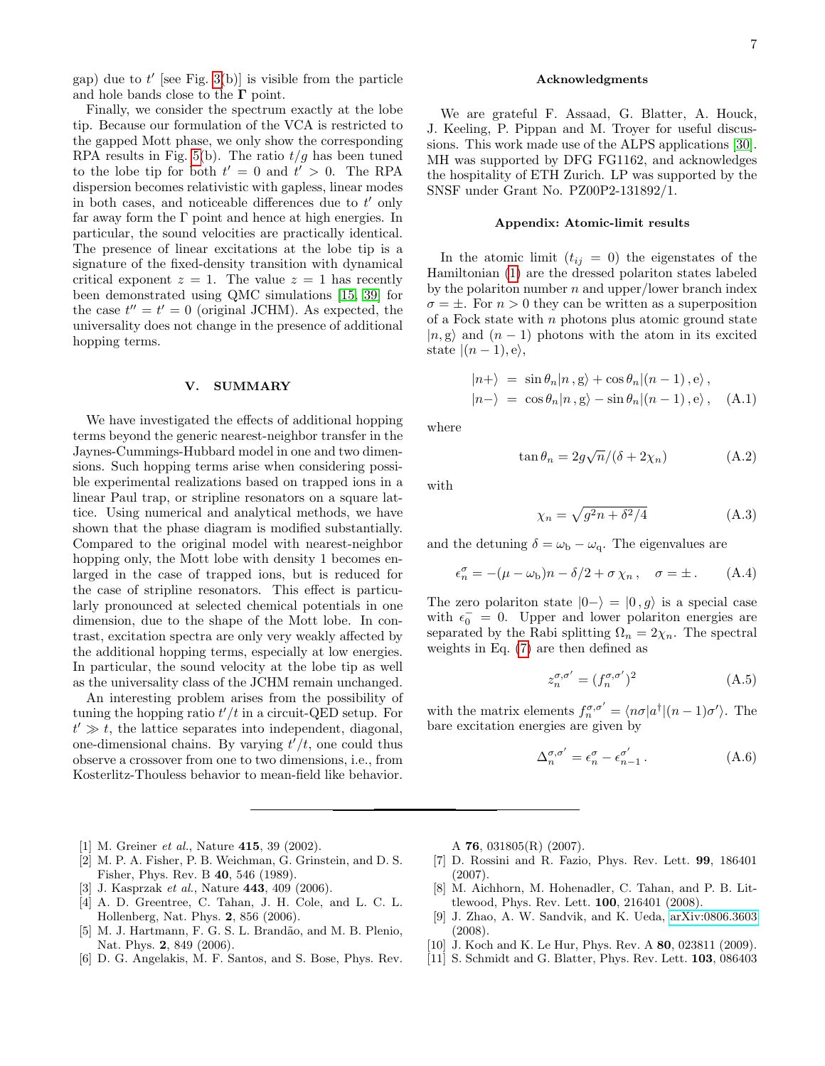gap) due to  $t'$  [see Fig. [3\(](#page-4-1)b)] is visible from the particle and hole bands close to the  $\Gamma$  point.

Finally, we consider the spectrum exactly at the lobe tip. Because our formulation of the VCA is restricted to the gapped Mott phase, we only show the corresponding RPA results in Fig. [5\(](#page-5-1)b). The ratio  $t/g$  has been tuned to the lobe tip for both  $t' = 0$  and  $t' > 0$ . The RPA dispersion becomes relativistic with gapless, linear modes in both cases, and noticeable differences due to  $t'$  only far away form the  $\Gamma$  point and hence at high energies. In particular, the sound velocities are practically identical. The presence of linear excitations at the lobe tip is a signature of the fixed-density transition with dynamical critical exponent  $z = 1$ . The value  $z = 1$  has recently been demonstrated using QMC simulations [\[15,](#page-7-0) [39\]](#page-7-24) for the case  $t'' = t' = 0$  (original JCHM). As expected, the universality does not change in the presence of additional hopping terms.

#### <span id="page-6-6"></span>V. SUMMARY

We have investigated the effects of additional hopping terms beyond the generic nearest-neighbor transfer in the Jaynes-Cummings-Hubbard model in one and two dimensions. Such hopping terms arise when considering possible experimental realizations based on trapped ions in a linear Paul trap, or stripline resonators on a square lattice. Using numerical and analytical methods, we have shown that the phase diagram is modified substantially. Compared to the original model with nearest-neighbor hopping only, the Mott lobe with density 1 becomes enlarged in the case of trapped ions, but is reduced for the case of stripline resonators. This effect is particularly pronounced at selected chemical potentials in one dimension, due to the shape of the Mott lobe. In contrast, excitation spectra are only very weakly affected by the additional hopping terms, especially at low energies. In particular, the sound velocity at the lobe tip as well as the universality class of the JCHM remain unchanged.

An interesting problem arises from the possibility of tuning the hopping ratio  $t'/t$  in a circuit-QED setup. For  $t' \gg t$ , the lattice separates into independent, diagonal, one-dimensional chains. By varying  $t^7/t$ , one could thus observe a crossover from one to two dimensions, i.e., from Kosterlitz-Thouless behavior to mean-field like behavior.

- <span id="page-6-0"></span>[1] M. Greiner *et al.*, Nature **415**, 39 (2002).
- <span id="page-6-1"></span>[2] M. P. A. Fisher, P. B. Weichman, G. Grinstein, and D. S. Fisher, Phys. Rev. B 40, 546 (1989).
- <span id="page-6-2"></span>[3] J. Kasprzak *et al.*, Nature **443**, 409 (2006).
- <span id="page-6-3"></span>[4] A. D. Greentree, C. Tahan, J. H. Cole, and L. C. L. Hollenberg, Nat. Phys. 2, 856 (2006).
- [5] M. J. Hartmann, F. G. S. L. Brandão, and M. B. Plenio, Nat. Phys. 2, 849 (2006).
- <span id="page-6-4"></span>[6] D. G. Angelakis, M. F. Santos, and S. Bose, Phys. Rev.

### Acknowledgments

We are grateful F. Assaad, G. Blatter, A. Houck, J. Keeling, P. Pippan and M. Troyer for useful discussions. This work made use of the ALPS applications [\[30\]](#page-7-25). MH was supported by DFG FG1162, and acknowledges the hospitality of ETH Zurich. LP was supported by the SNSF under Grant No. PZ00P2-131892/1.

### Appendix: Atomic-limit results

In the atomic limit  $(t_{ij} = 0)$  the eigenstates of the Hamiltonian [\(1\)](#page-1-1) are the dressed polariton states labeled by the polariton number  $n$  and upper/lower branch index  $\sigma = \pm$ . For  $n > 0$  they can be written as a superposition of a Fock state with  $n$  photons plus atomic ground state  $|n, g\rangle$  and  $(n - 1)$  photons with the atom in its excited state  $|(n-1), e\rangle$ ,

$$
|n+\rangle = \sin \theta_n |n, g\rangle + \cos \theta_n |(n-1), e\rangle,
$$
  

$$
|n-\rangle = \cos \theta_n |n, g\rangle - \sin \theta_n |(n-1), e\rangle, \quad (A.1)
$$

where

$$
\tan \theta_n = 2g\sqrt{n}/(\delta + 2\chi_n) \tag{A.2}
$$

with

$$
\chi_n = \sqrt{g^2 n + \delta^2/4} \tag{A.3}
$$

and the detuning  $\delta = \omega_{\rm b} - \omega_{\rm q}$ . The eigenvalues are

$$
\epsilon_n^{\sigma} = -(\mu - \omega_{\rm b})n - \delta/2 + \sigma \chi_n \,, \quad \sigma = \pm \,. \tag{A.4}
$$

The zero polariton state  $|0-\rangle = |0, g\rangle$  is a special case with  $\epsilon_0^{-} = 0$ . Upper and lower polariton energies are separated by the Rabi splitting  $\Omega_n = 2\chi_n$ . The spectral weights in Eq. [\(7\)](#page-3-1) are then defined as

$$
z_n^{\sigma,\sigma'} = (f_n^{\sigma,\sigma'})^2 \tag{A.5}
$$

with the matrix elements  $f_n^{\sigma,\sigma'} = \langle n\sigma | a^{\dagger} | (n-1)\sigma' \rangle$ . The bare excitation energies are given by

$$
\Delta_n^{\sigma,\sigma'} = \epsilon_n^{\sigma} - \epsilon_{n-1}^{\sigma'}.
$$
\n(A.6)

A 76, 031805(R) (2007).

- <span id="page-6-7"></span>[7] D. Rossini and R. Fazio, Phys. Rev. Lett. 99, 186401 (2007).
- <span id="page-6-9"></span>[8] M. Aichhorn, M. Hohenadler, C. Tahan, and P. B. Littlewood, Phys. Rev. Lett. 100, 216401 (2008).
- <span id="page-6-8"></span>[9] J. Zhao, A. W. Sandvik, and K. Ueda, [arXiv:0806.3603](http://arxiv.org/abs/0806.3603) (2008).
- <span id="page-6-5"></span>[10] J. Koch and K. Le Hur, Phys. Rev. A **80**, 023811 (2009).
- <span id="page-6-10"></span>[11] S. Schmidt and G. Blatter, Phys. Rev. Lett. 103, 086403